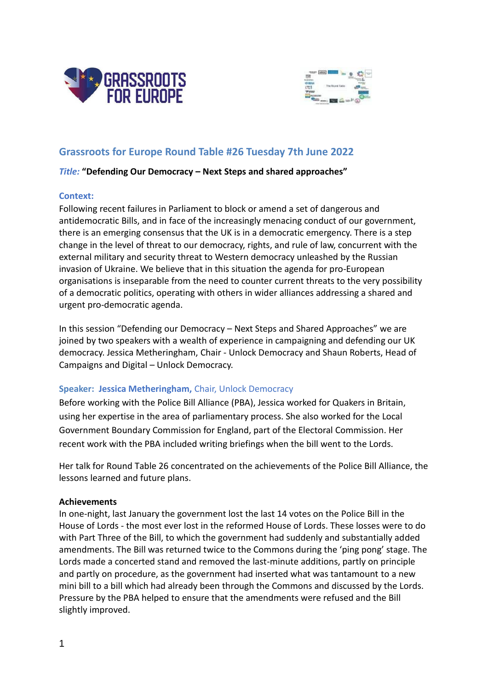



# **Grassroots for Europe Round Table #26 Tuesday 7th June 2022**

# *Title:* **"Defending Our Democracy – Next Steps and shared approaches"**

# **Context:**

Following recent failures in Parliament to block or amend a set of dangerous and antidemocratic Bills, and in face of the increasingly menacing conduct of our government, there is an emerging consensus that the UK is in a democratic emergency. There is a step change in the level of threat to our democracy, rights, and rule of law, concurrent with the external military and security threat to Western democracy unleashed by the Russian invasion of Ukraine. We believe that in this situation the agenda for pro-European organisations is inseparable from the need to counter current threats to the very possibility of a democratic politics, operating with others in wider alliances addressing a shared and urgent pro-democratic agenda.

In this session "Defending our Democracy – Next Steps and Shared Approaches" we are joined by two speakers with a wealth of experience in campaigning and defending our UK democracy. Jessica Metheringham, Chair - Unlock Democracy and Shaun Roberts, Head of Campaigns and Digital – Unlock Democracy.

# **Speaker: Jessica Metheringham,** Chair, Unlock Democracy

Before working with the Police Bill Alliance (PBA), Jessica worked for Quakers in Britain, using her expertise in the area of parliamentary process. She also worked for the Local Government Boundary Commission for England, part of the Electoral Commission. Her recent work with the PBA included writing briefings when the bill went to the Lords.

Her talk for Round Table 26 concentrated on the achievements of the Police Bill Alliance, the lessons learned and future plans.

# **Achievements**

In one-night, last January the government lost the last 14 votes on the Police Bill in the House of Lords - the most ever lost in the reformed House of Lords. These losses were to do with Part Three of the Bill, to which the government had suddenly and substantially added amendments. The Bill was returned twice to the Commons during the 'ping pong' stage. The Lords made a concerted stand and removed the last-minute additions, partly on principle and partly on procedure, as the government had inserted what was tantamount to a new mini bill to a bill which had already been through the Commons and discussed by the Lords. Pressure by the PBA helped to ensure that the amendments were refused and the Bill slightly improved.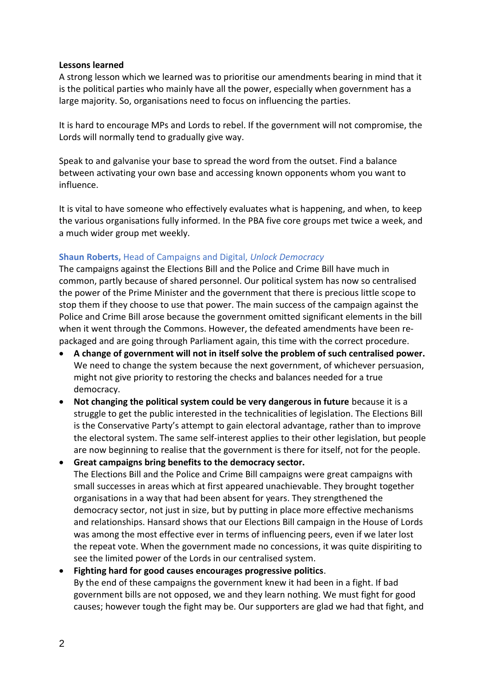# **Lessons learned**

A strong lesson which we learned was to prioritise our amendments bearing in mind that it is the political parties who mainly have all the power, especially when government has a large majority. So, organisations need to focus on influencing the parties.

It is hard to encourage MPs and Lords to rebel. If the government will not compromise, the Lords will normally tend to gradually give way.

Speak to and galvanise your base to spread the word from the outset. Find a balance between activating your own base and accessing known opponents whom you want to influence.

It is vital to have someone who effectively evaluates what is happening, and when, to keep the various organisations fully informed. In the PBA five core groups met twice a week, and a much wider group met weekly.

# **Shaun Roberts,** Head of Campaigns and Digital, *Unlock Democracy*

The campaigns against the Elections Bill and the Police and Crime Bill have much in common, partly because of shared personnel. Our political system has now so centralised the power of the Prime Minister and the government that there is precious little scope to stop them if they choose to use that power. The main success of the campaign against the Police and Crime Bill arose because the government omitted significant elements in the bill when it went through the Commons. However, the defeated amendments have been repackaged and are going through Parliament again, this time with the correct procedure.

- **A change of government will not in itself solve the problem of such centralised power.** We need to change the system because the next government, of whichever persuasion, might not give priority to restoring the checks and balances needed for a true democracy.
- **Not changing the political system could be very dangerous in future** because it is a struggle to get the public interested in the technicalities of legislation. The Elections Bill is the Conservative Party's attempt to gain electoral advantage, rather than to improve the electoral system. The same self-interest applies to their other legislation, but people are now beginning to realise that the government is there for itself, not for the people.
- **Great campaigns bring benefits to the democracy sector.** The Elections Bill and the Police and Crime Bill campaigns were great campaigns with small successes in areas which at first appeared unachievable. They brought together organisations in a way that had been absent for years. They strengthened the democracy sector, not just in size, but by putting in place more effective mechanisms and relationships. Hansard shows that our Elections Bill campaign in the House of Lords was among the most effective ever in terms of influencing peers, even if we later lost the repeat vote. When the government made no concessions, it was quite dispiriting to see the limited power of the Lords in our centralised system.

• **Fighting hard for good causes encourages progressive politics**. By the end of these campaigns the government knew it had been in a fight. If bad government bills are not opposed, we and they learn nothing. We must fight for good causes; however tough the fight may be. Our supporters are glad we had that fight, and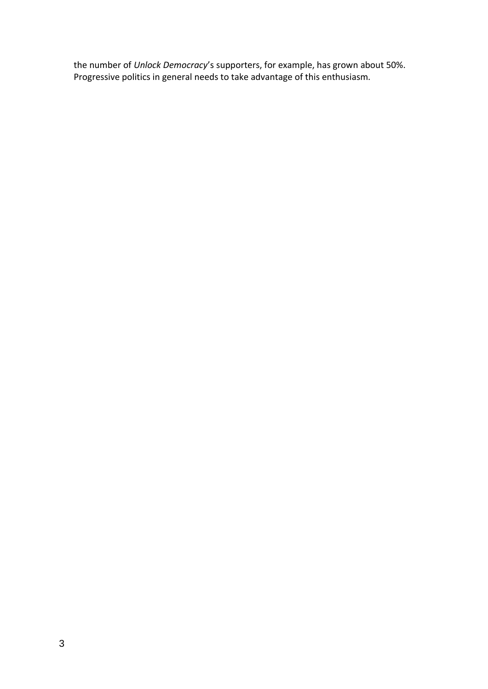the number of *Unlock Democracy*'s supporters, for example, has grown about 50%. Progressive politics in general needs to take advantage of this enthusiasm.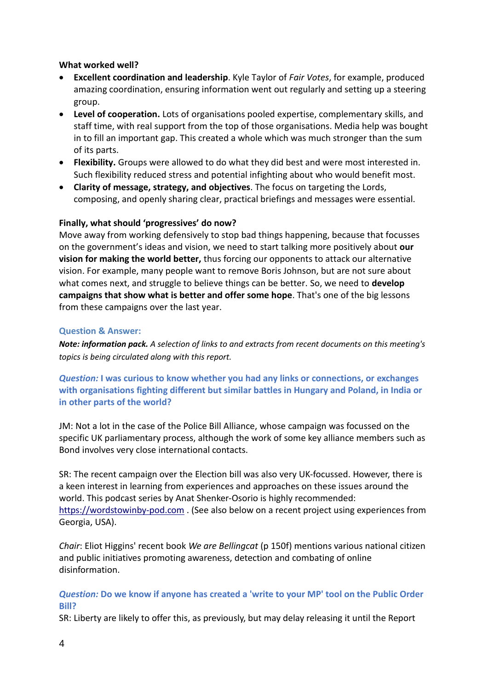# **What worked well?**

- **Excellent coordination and leadership**. Kyle Taylor of *Fair Votes*, for example, produced amazing coordination, ensuring information went out regularly and setting up a steering group.
- **Level of cooperation.** Lots of organisations pooled expertise, complementary skills, and staff time, with real support from the top of those organisations. Media help was bought in to fill an important gap. This created a whole which was much stronger than the sum of its parts.
- **Flexibility.** Groups were allowed to do what they did best and were most interested in. Such flexibility reduced stress and potential infighting about who would benefit most.
- **Clarity of message, strategy, and objectives**. The focus on targeting the Lords, composing, and openly sharing clear, practical briefings and messages were essential.

# **Finally, what should 'progressives' do now?**

Move away from working defensively to stop bad things happening, because that focusses on the government's ideas and vision, we need to start talking more positively about **our vision for making the world better,** thus forcing our opponents to attack our alternative vision. For example, many people want to remove Boris Johnson, but are not sure about what comes next, and struggle to believe things can be better. So, we need to **develop campaigns that show what is better and offer some hope**. That's one of the big lessons from these campaigns over the last year.

# **Question & Answer:**

*Note: information pack. A selection of links to and extracts from recent documents on this meeting's topics is being circulated along with this report.*

*Question:* **I was curious to know whether you had any links or connections, or exchanges with organisations fighting different but similar battles in Hungary and Poland, in India or in other parts of the world?** 

JM: Not a lot in the case of the Police Bill Alliance, whose campaign was focussed on the specific UK parliamentary process, although the work of some key alliance members such as Bond involves very close international contacts.

SR: The recent campaign over the Election bill was also very UK-focussed. However, there is a keen interest in learning from experiences and approaches on these issues around the world. This podcast series by Anat Shenker-Osorio is highly recommended: [https://wordstowinby-pod.com](https://wordstowinby-pod.com/) . (See also below on a recent project using experiences from Georgia, USA).

*Chair*: Eliot Higgins' recent book *We are Bellingcat* (p 150f) mentions various national citizen and public initiatives promoting awareness, detection and combating of online disinformation.

# *Question:* **Do we know if anyone has created a 'write to your MP' tool on the Public Order Bill?**

SR: Liberty are likely to offer this, as previously, but may delay releasing it until the Report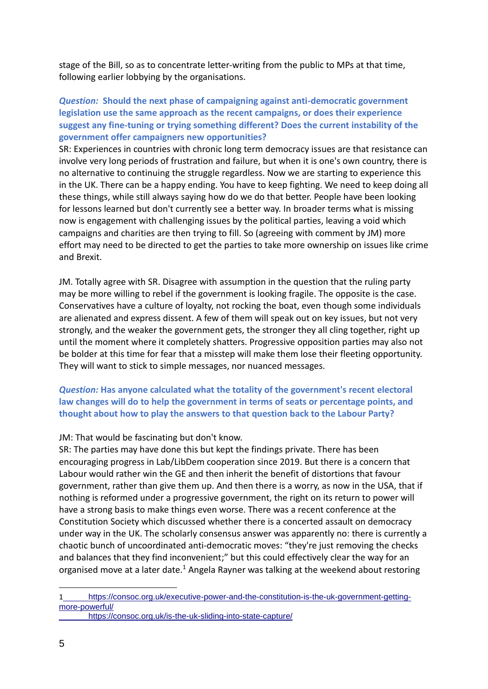stage of the Bill, so as to concentrate letter-writing from the public to MPs at that time, following earlier lobbying by the organisations.

# *Question:* **Should the next phase of campaigning against anti-democratic government legislation use the same approach as the recent campaigns, or does their experience suggest any fine-tuning or trying something different? Does the current instability of the government offer campaigners new opportunities?**

SR: Experiences in countries with chronic long term democracy issues are that resistance can involve very long periods of frustration and failure, but when it is one's own country, there is no alternative to continuing the struggle regardless. Now we are starting to experience this in the UK. There can be a happy ending. You have to keep fighting. We need to keep doing all these things, while still always saying how do we do that better. People have been looking for lessons learned but don't currently see a better way. In broader terms what is missing now is engagement with challenging issues by the political parties, leaving a void which campaigns and charities are then trying to fill. So (agreeing with comment by JM) more effort may need to be directed to get the parties to take more ownership on issues like crime and Brexit.

JM. Totally agree with SR. Disagree with assumption in the question that the ruling party may be more willing to rebel if the government is looking fragile. The opposite is the case. Conservatives have a culture of loyalty, not rocking the boat, even though some individuals are alienated and express dissent. A few of them will speak out on key issues, but not very strongly, and the weaker the government gets, the stronger they all cling together, right up until the moment where it completely shatters. Progressive opposition parties may also not be bolder at this time for fear that a misstep will make them lose their fleeting opportunity. They will want to stick to simple messages, nor nuanced messages.

# *Question:* **Has anyone calculated what the totality of the government's recent electoral law changes will do to help the government in terms of seats or percentage points, and thought about how to play the answers to that question back to the Labour Party?**

# JM: That would be fascinating but don't know.

SR: The parties may have done this but kept the findings private. There has been encouraging progress in Lab/LibDem cooperation since 2019. But there is a concern that Labour would rather win the GE and then inherit the benefit of distortions that favour government, rather than give them up. And then there is a worry, as now in the USA, that if nothing is reformed under a progressive government, the right on its return to power will have a strong basis to make things even worse. There was a recent conference at the Constitution Society which discussed whether there is a concerted assault on democracy under way in the UK. The scholarly consensus answer was apparently no: there is currently a chaotic bunch of uncoordinated anti-democratic moves: "they're just removing the checks and balances that they find inconvenient;" but this could effectively clear the way for an organised move at a later date.<sup>1</sup> Angela Rayner was talking at the weekend about restoring

<sup>1</sup> [https://consoc.org.uk/executive-power-and-the-constitution-is-the-uk-government-getting](https://consoc.org.uk/executive-power-and-the-constitution-is-the-uk-government-getting-more-powerful/)[more-powerful/](https://consoc.org.uk/executive-power-and-the-constitution-is-the-uk-government-getting-more-powerful/)

<https://consoc.org.uk/is-the-uk-sliding-into-state-capture/>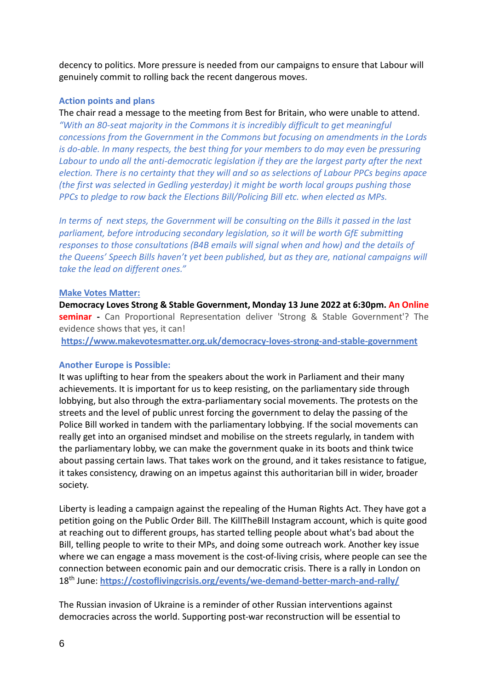decency to politics. More pressure is needed from our campaigns to ensure that Labour will genuinely commit to rolling back the recent dangerous moves.

# **Action points and plans**

The chair read a message to the meeting from Best for Britain, who were unable to attend. *"With an 80-seat majority in the Commons it is incredibly difficult to get meaningful concessions from the Government in the Commons but focusing on amendments in the Lords is do-able. In many respects, the best thing for your members to do may even be pressuring Labour to undo all the anti-democratic legislation if they are the largest party after the next election. There is no certainty that they will and so as selections of Labour PPCs begins apace (the first was selected in Gedling yesterday) it might be worth local groups pushing those PPCs to pledge to row back the Elections Bill/Policing Bill etc. when elected as MPs.*

*In terms of next steps, the Government will be consulting on the Bills it passed in the last parliament, before introducing secondary legislation, so it will be worth GfE submitting responses to those consultations (B4B emails will signal when and how) and the details of the Queens' Speech Bills haven't yet been published, but as they are, national campaigns will take the lead on different ones."*

# **Make Votes Matter:**

**Democracy Loves Strong & Stable Government, Monday 13 June 2022 at 6:30pm. An Online seminar -** Can Proportional Representation deliver 'Strong & Stable Government'? The evidence shows that yes, it can!

**[https://www.makevotesmatter.org.uk/democracy-loves-strong-and-stable-government](https://www.makevotesmatter.org.uk/democracy-loves-strong-and-stable-government#_blank)**

# **Another Europe is Possible:**

It was uplifting to hear from the speakers about the work in Parliament and their many achievements. It is important for us to keep resisting, on the parliamentary side through lobbying, but also through the extra-parliamentary social movements. The protests on the streets and the level of public unrest forcing the government to delay the passing of the Police Bill worked in tandem with the parliamentary lobbying. If the social movements can really get into an organised mindset and mobilise on the streets regularly, in tandem with the parliamentary lobby, we can make the government quake in its boots and think twice about passing certain laws. That takes work on the ground, and it takes resistance to fatigue, it takes consistency, drawing on an impetus against this authoritarian bill in wider, broader society.

Liberty is leading a campaign against the repealing of the Human Rights Act. They have got a petition going on the Public Order Bill. The KillTheBill Instagram account, which is quite good at reaching out to different groups, has started telling people about what's bad about the Bill, telling people to write to their MPs, and doing some outreach work. Another key issue where we can engage a mass movement is the cost-of-living crisis, where people can see the connection between economic pain and our democratic crisis. There is a rally in London on 18th June: **<https://costoflivingcrisis.org/events/we-demand-better-march-and-rally/>**

The Russian invasion of Ukraine is a reminder of other Russian interventions against democracies across the world. Supporting post-war reconstruction will be essential to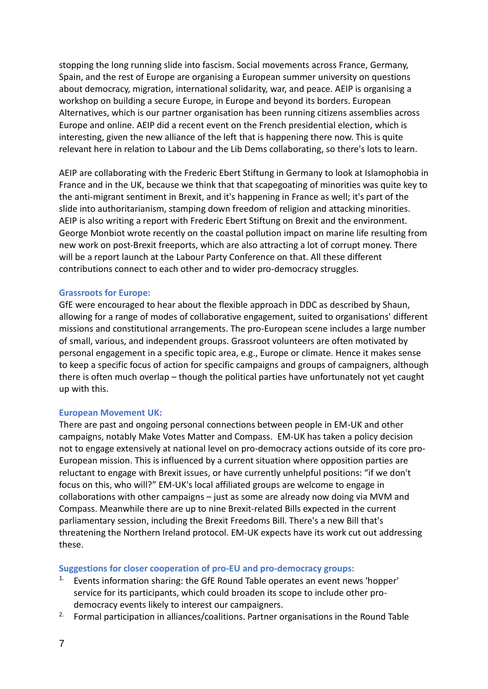stopping the long running slide into fascism. Social movements across France, Germany, Spain, and the rest of Europe are organising a European summer university on questions about democracy, migration, international solidarity, war, and peace. AEIP is organising a workshop on building a secure Europe, in Europe and beyond its borders. European Alternatives, which is our partner organisation has been running citizens assemblies across Europe and online. AEIP did a recent event on the French presidential election, which is interesting, given the new alliance of the left that is happening there now. This is quite relevant here in relation to Labour and the Lib Dems collaborating, so there's lots to learn.

AEIP are collaborating with the Frederic Ebert Stiftung in Germany to look at Islamophobia in France and in the UK, because we think that that scapegoating of minorities was quite key to the anti-migrant sentiment in Brexit, and it's happening in France as well; it's part of the slide into authoritarianism, stamping down freedom of religion and attacking minorities. AEIP is also writing a report with Frederic Ebert Stiftung on Brexit and the environment. George Monbiot wrote recently on the coastal pollution impact on marine life resulting from new work on post-Brexit freeports, which are also attracting a lot of corrupt money. There will be a report launch at the Labour Party Conference on that. All these different contributions connect to each other and to wider pro-democracy struggles.

# **Grassroots for Europe:**

GfE were encouraged to hear about the flexible approach in DDC as described by Shaun, allowing for a range of modes of collaborative engagement, suited to organisations' different missions and constitutional arrangements. The pro-European scene includes a large number of small, various, and independent groups. Grassroot volunteers are often motivated by personal engagement in a specific topic area, e.g., Europe or climate. Hence it makes sense to keep a specific focus of action for specific campaigns and groups of campaigners, although there is often much overlap – though the political parties have unfortunately not yet caught up with this.

# **European Movement UK:**

There are past and ongoing personal connections between people in EM-UK and other campaigns, notably Make Votes Matter and Compass. EM-UK has taken a policy decision not to engage extensively at national level on pro-democracy actions outside of its core pro-European mission. This is influenced by a current situation where opposition parties are reluctant to engage with Brexit issues, or have currently unhelpful positions: "if we don't focus on this, who will?" EM-UK's local affiliated groups are welcome to engage in collaborations with other campaigns – just as some are already now doing via MVM and Compass. Meanwhile there are up to nine Brexit-related Bills expected in the current parliamentary session, including the Brexit Freedoms Bill. There's a new Bill that's threatening the Northern Ireland protocol. EM-UK expects have its work cut out addressing these.

# **Suggestions for closer cooperation of pro-EU and pro-democracy groups:**

- 1. Events information sharing: the GfE Round Table operates an event news 'hopper' service for its participants, which could broaden its scope to include other prodemocracy events likely to interest our campaigners.
- <sup>2.</sup> Formal participation in alliances/coalitions. Partner organisations in the Round Table